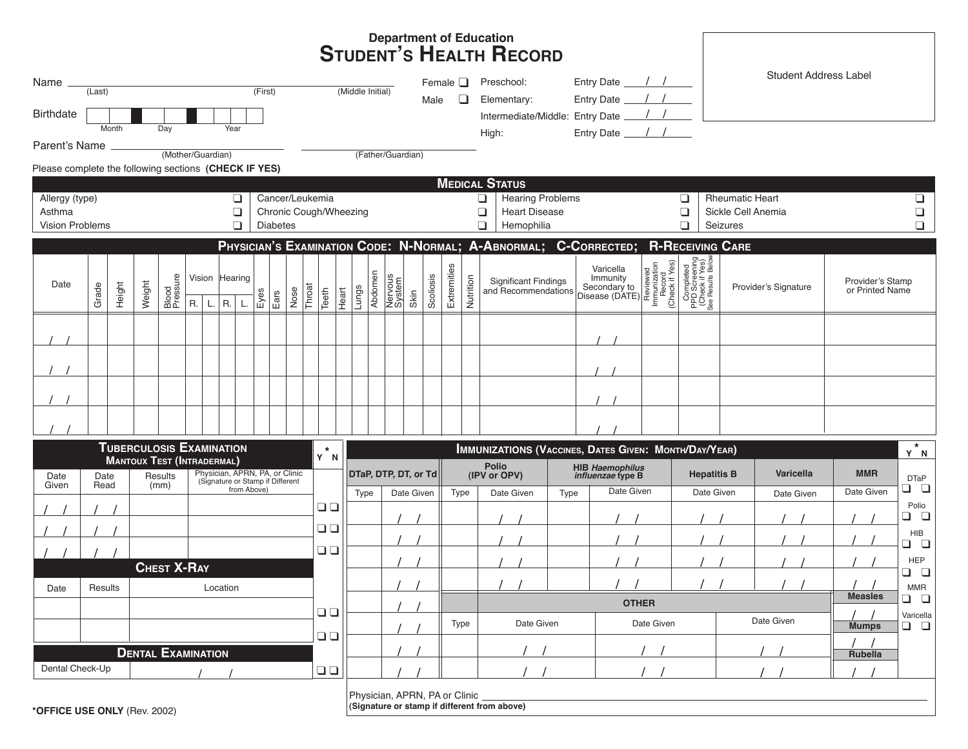## **Department of Education STUDENT'S HEALTH RECORD**

| Name                                                                                              |              |                                   |        |                                 |                   |                                                                                   |                  |        |              |        |             | Female $\Box$  |                      |                                 | Preschool:                                      |           | Entry Date ___               |           |                                                   |                                                                  | <b>Student Address Label</b> |                                 |                                |                                                      |                                                                  |              |                      |            |                       |                            |                      |
|---------------------------------------------------------------------------------------------------|--------------|-----------------------------------|--------|---------------------------------|-------------------|-----------------------------------------------------------------------------------|------------------|--------|--------------|--------|-------------|----------------|----------------------|---------------------------------|-------------------------------------------------|-----------|------------------------------|-----------|---------------------------------------------------|------------------------------------------------------------------|------------------------------|---------------------------------|--------------------------------|------------------------------------------------------|------------------------------------------------------------------|--------------|----------------------|------------|-----------------------|----------------------------|----------------------|
| (First)<br>(Last)                                                                                 |              |                                   |        |                                 |                   |                                                                                   | (Middle Initial) |        |              |        | Male        |                | □                    |                                 | Entry Date<br>Elementary:                       |           |                              |           |                                                   |                                                                  |                              |                                 |                                |                                                      |                                                                  |              |                      |            |                       |                            |                      |
| <b>Birthdate</b>                                                                                  |              |                                   |        |                                 |                   |                                                                                   |                  |        |              |        |             |                |                      | Intermediate/Middle: Entry Date |                                                 |           |                              |           |                                                   |                                                                  |                              |                                 |                                |                                                      |                                                                  |              |                      |            |                       |                            |                      |
|                                                                                                   |              | Month                             |        | Day                             |                   | Year                                                                              |                  |        |              |        |             |                |                      |                                 |                                                 |           |                              |           | High:                                             |                                                                  |                              | Entry Date                      |                                |                                                      |                                                                  |              |                      |            |                       |                            |                      |
| Parent's Name                                                                                     |              |                                   |        |                                 | (Mother/Guardian) |                                                                                   |                  |        |              |        |             |                |                      | (Father/Guardian)               |                                                 |           |                              |           |                                                   |                                                                  |                              |                                 |                                |                                                      |                                                                  |              |                      |            |                       |                            |                      |
| Please complete the following sections (CHECK IF YES)                                             |              |                                   |        |                                 |                   |                                                                                   |                  |        |              |        |             |                |                      |                                 |                                                 |           |                              |           |                                                   |                                                                  |                              |                                 |                                |                                                      |                                                                  |              |                      |            |                       |                            |                      |
|                                                                                                   |              |                                   |        |                                 |                   |                                                                                   |                  |        |              |        |             |                |                      |                                 |                                                 |           |                              |           |                                                   | <b>MEDICAL STATUS</b>                                            |                              |                                 |                                |                                                      |                                                                  |              |                      |            |                       |                            |                      |
| Cancer/Leukemia<br>Allergy (type)<br>❏                                                            |              |                                   |        |                                 |                   |                                                                                   |                  |        |              |        | ❏<br>$\Box$ |                |                      |                                 | <b>Hearing Problems</b><br><b>Heart Disease</b> |           |                              |           | <b>Rheumatic Heart</b><br>❏<br>Sickle Cell Anemia |                                                                  |                              |                                 |                                |                                                      | ❏                                                                |              |                      |            |                       |                            |                      |
| Asthma<br>$\Box$<br>Chronic Cough/Wheezing<br>$\Box$<br><b>Vision Problems</b><br><b>Diabetes</b> |              |                                   |        |                                 |                   |                                                                                   |                  |        |              | $\Box$ |             |                |                      | Hemophilia                      |                                                 |           |                              |           | $\Box$<br>$\Box$                                  | Seizures                                                         |                              |                                 | $\Box$<br>$\Box$               |                                                      |                                                                  |              |                      |            |                       |                            |                      |
|                                                                                                   |              |                                   |        |                                 |                   |                                                                                   |                  |        |              |        |             |                |                      |                                 |                                                 |           |                              |           |                                                   | PHYSICIAN'S EXAMINATION CODE: N-NORMAL; A-ABNORMAL; C-CORRECTED; |                              |                                 |                                |                                                      | <b>R-RECEIVING CARE</b>                                          |              |                      |            |                       |                            |                      |
|                                                                                                   |              |                                   |        |                                 |                   |                                                                                   |                  |        |              |        |             |                |                      |                                 |                                                 |           |                              |           |                                                   |                                                                  |                              |                                 |                                |                                                      |                                                                  |              |                      |            |                       |                            |                      |
| Date                                                                                              |              | Height                            | Weight | Blood<br>Pressure               |                   | Vision Hearing                                                                    |                  | Eyes   | Nose<br>Ears |        |             |                |                      |                                 |                                                 |           | Extremities                  |           |                                                   | <b>Significant Findings</b>                                      |                              |                                 | Varicella<br>Immunity          | Reviewed<br>Immunization<br>Record<br>(Check if Yes) | Completed<br>PPD Screening<br>Check if Yes)<br>See Results Below |              |                      |            |                       | Provider's Stamp           |                      |
|                                                                                                   | Grade        |                                   |        |                                 |                   |                                                                                   |                  |        |              | Throat | Teeth       | Lungs<br>Heart | Abdomen              | Nervous<br>System               | Skin                                            | Scoliosis |                              | Nutrition |                                                   | and Recommendations                                              |                              |                                 | Secondary to<br>Disease (DATE) |                                                      |                                                                  |              | Provider's Signature |            |                       | or Printed Name            |                      |
|                                                                                                   |              |                                   |        |                                 | $R_{\cdot}$<br>L. | R.                                                                                | L.               |        |              |        |             |                |                      |                                 |                                                 |           |                              |           |                                                   |                                                                  |                              |                                 |                                |                                                      |                                                                  |              |                      |            |                       |                            |                      |
|                                                                                                   |              |                                   |        |                                 |                   |                                                                                   |                  |        |              |        |             |                |                      |                                 |                                                 |           |                              |           |                                                   |                                                                  |                              |                                 |                                |                                                      |                                                                  |              |                      |            |                       |                            |                      |
|                                                                                                   |              |                                   |        |                                 |                   |                                                                                   |                  |        |              |        |             |                |                      |                                 |                                                 |           |                              |           |                                                   |                                                                  |                              |                                 |                                |                                                      |                                                                  |              |                      |            |                       |                            |                      |
|                                                                                                   |              |                                   |        |                                 |                   |                                                                                   |                  |        |              |        |             |                |                      |                                 |                                                 |           |                              |           |                                                   |                                                                  |                              |                                 |                                |                                                      |                                                                  |              |                      |            |                       |                            |                      |
|                                                                                                   |              |                                   |        |                                 |                   |                                                                                   |                  |        |              |        |             |                |                      |                                 |                                                 |           |                              |           |                                                   |                                                                  |                              |                                 |                                |                                                      |                                                                  |              |                      |            |                       |                            |                      |
|                                                                                                   |              |                                   |        |                                 |                   |                                                                                   |                  |        |              |        |             |                |                      |                                 |                                                 |           |                              |           |                                                   |                                                                  |                              |                                 |                                |                                                      |                                                                  |              |                      |            |                       |                            |                      |
|                                                                                                   |              |                                   |        |                                 |                   |                                                                                   |                  |        |              |        |             |                |                      |                                 |                                                 |           |                              |           |                                                   |                                                                  |                              |                                 |                                |                                                      |                                                                  |              |                      |            |                       |                            |                      |
|                                                                                                   |              |                                   |        | <b>TUBERCULOSIS EXAMINATION</b> |                   |                                                                                   |                  |        |              |        | $\star$     |                |                      |                                 |                                                 |           |                              |           |                                                   | <b>IMMUNIZATIONS (VACCINES, DATES GIVEN: MONTH/DAY/YEAR)</b>     |                              |                                 |                                |                                                      |                                                                  |              |                      |            |                       |                            | $y^*$ N              |
|                                                                                                   |              | <b>MANTOUX TEST (INTRADERMAL)</b> |        |                                 |                   |                                                                                   |                  |        | Y N          |        |             |                | DTaP, DTP, DT, or Td |                                 |                                                 |           | <b>Polio</b><br>(IPV or OPV) |           | HIB Haemophilus<br>influenzae type B              |                                                                  |                              | <b>Hepatitis B</b><br>Varicella |                                |                                                      |                                                                  | <b>MMR</b>   |                      |            |                       |                            |                      |
| Date<br>Given                                                                                     | Date<br>Read |                                   |        | Results<br>(mm)                 |                   | Physician, APRN, PA, or Clinic<br>(Signature or Stamp if Different<br>from Above) |                  |        |              |        |             |                |                      |                                 |                                                 |           | Type                         |           |                                                   |                                                                  |                              |                                 | Date Given                     |                                                      | Date Given                                                       |              |                      |            |                       | Date Given                 | <b>DTaP</b><br>ם ם   |
|                                                                                                   |              |                                   |        |                                 |                   |                                                                                   |                  |        |              |        | $\Box$      |                | Type                 |                                 | Date Given                                      |           |                              |           |                                                   | Date Given                                                       | Type                         |                                 |                                |                                                      |                                                                  |              |                      | Date Given |                       |                            | Polio                |
|                                                                                                   |              |                                   |        |                                 |                   |                                                                                   |                  |        |              |        | $\Box$      |                |                      |                                 |                                                 |           |                              |           |                                                   |                                                                  |                              |                                 |                                |                                                      |                                                                  |              |                      |            |                       |                            | ם ם                  |
|                                                                                                   |              |                                   |        |                                 |                   |                                                                                   |                  |        |              |        |             |                |                      |                                 |                                                 |           |                              |           |                                                   |                                                                  |                              |                                 |                                |                                                      |                                                                  |              |                      |            |                       |                            | <b>HIB</b><br>$\Box$ |
|                                                                                                   |              |                                   |        | <b>CHEST X-RAY</b>              |                   |                                                                                   |                  |        |              |        | $\Box$      |                |                      |                                 |                                                 |           |                              |           |                                                   |                                                                  |                              |                                 |                                |                                                      |                                                                  |              |                      |            |                       |                            | <b>HEP</b>           |
|                                                                                                   | Results      |                                   |        | Location                        |                   |                                                                                   |                  |        |              |        |             |                |                      |                                 |                                                 |           |                              |           |                                                   |                                                                  |                              |                                 |                                |                                                      |                                                                  |              |                      |            |                       |                            | ם ם<br><b>MMR</b>    |
| Date                                                                                              |              |                                   |        |                                 |                   |                                                                                   |                  |        |              |        |             |                |                      |                                 | Type                                            |           |                              |           |                                                   |                                                                  |                              |                                 | <b>OTHER</b>                   |                                                      |                                                                  |              |                      |            | <b>Measles</b><br>ם ם |                            |                      |
|                                                                                                   |              |                                   |        |                                 |                   |                                                                                   |                  |        |              |        | $\Box$      |                |                      |                                 |                                                 |           |                              |           |                                                   | Date Given                                                       |                              | Date Given                      |                                |                                                      |                                                                  | Date Given   |                      |            |                       | Varicella<br>$\Box$ $\Box$ |                      |
|                                                                                                   |              |                                   |        |                                 |                   |                                                                                   |                  | $\Box$ |              |        |             |                |                      |                                 |                                                 |           |                              |           |                                                   |                                                                  |                              |                                 |                                |                                                      |                                                                  | <b>Mumps</b> |                      |            |                       |                            |                      |
| <b>DENTAL EXAMINATION</b>                                                                         |              |                                   |        |                                 |                   |                                                                                   |                  |        |              |        |             |                |                      |                                 |                                                 |           |                              |           |                                                   |                                                                  |                              |                                 |                                |                                                      |                                                                  |              | Rubella              |            |                       |                            |                      |
| Dental Check-Up<br>$\Box$                                                                         |              |                                   |        |                                 |                   |                                                                                   |                  |        |              |        |             |                |                      |                                 |                                                 |           |                              |           |                                                   |                                                                  |                              |                                 |                                |                                                      |                                                                  |              |                      |            |                       |                            |                      |
|                                                                                                   |              |                                   |        |                                 |                   |                                                                                   |                  |        |              |        |             |                |                      |                                 |                                                 |           |                              |           |                                                   |                                                                  |                              |                                 |                                |                                                      |                                                                  |              |                      |            |                       |                            |                      |

Physician, APRN, PA or Clinic

**(Signature or stamp if different from above)**